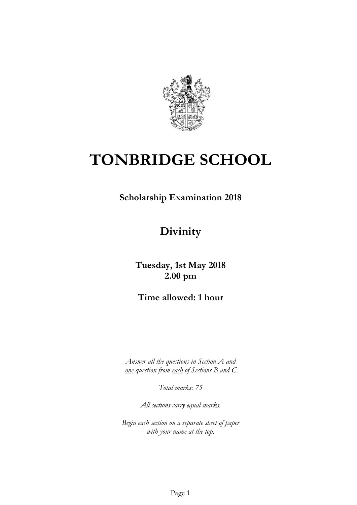

# **TONBRIDGE SCHOOL**

**Scholarship Examination 2018**

# **Divinity**

**Tuesday, 1st May 2018 2.00 pm**

**Time allowed: 1 hour**

*Answer all the questions in Section A and one question from each of Sections B and C.*

*Total marks: 75*

*All sections carry equal marks.*

*Begin each section on a separate sheet of paper with your name at the top.*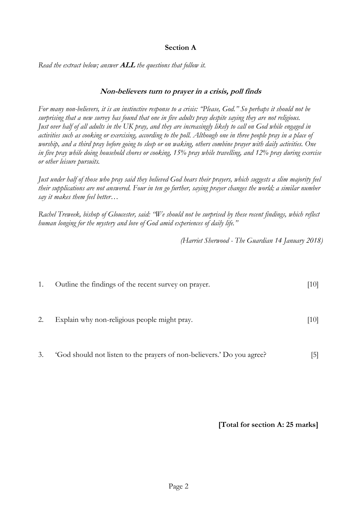#### **Section A**

*Read the extract below; answer* **ALL** *the questions that follow it.*

#### **Non-believers turn to prayer in a crisis, poll finds**

*For many non-believers, it is an instinctive response to a crisis: "Please, God." So perhaps it should not be surprising that a new survey has found that one in five adults pray despite saying they are not religious. Just over half of all adults in the UK pray, and they are increasingly likely to call on God while engaged in activities such as cooking or exercising, according to the poll. Although one in three people pray in a place of worship, and a third pray before going to sleep or on waking, others combine prayer with daily activities. One in five pray while doing household chores or cooking, 15% pray while travelling, and 12% pray during exercise or other leisure pursuits.*

*Just under half of those who pray said they believed God hears their prayers, which suggests a slim majority feel their supplications are not answered. Four in ten go further, saying prayer changes the world; a similar number say it makes them feel better…*

*Rachel Treweek, bishop of Gloucester, said: "We should not be surprised by these recent findings, which reflect human longing for the mystery and love of God amid experiences of daily life."*

*(Harriet Sherwood - The Guardian 14 January 2018)*

| 1. | Outline the findings of the recent survey on prayer. | [10] |
|----|------------------------------------------------------|------|
| 2. | Explain why non-religious people might pray.         | [10] |
|    |                                                      |      |

3. 'God should not listen to the prayers of non-believers.' Do you agree? [5]

**[Total for section A: 25 marks]**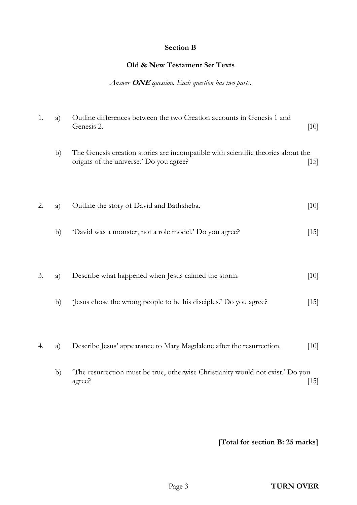#### **Section B**

# **Old & New Testament Set Texts**

#### *Answer* **ONE** *question. Each question has two parts.*

| 1. | a) | Outline differences between the two Creation accounts in Genesis 1 and<br>Genesis 2.                                        | $[10]$ |
|----|----|-----------------------------------------------------------------------------------------------------------------------------|--------|
|    | b) | The Genesis creation stories are incompatible with scientific theories about the<br>origins of the universe.' Do you agree? | $[15]$ |
| 2. | a) | Outline the story of David and Bathsheba.                                                                                   | [10]   |
|    | b) | 'David was a monster, not a role model.' Do you agree?                                                                      | $[15]$ |
| 3. | a) | Describe what happened when Jesus calmed the storm.                                                                         | $[10]$ |
|    | b) | Jesus chose the wrong people to be his disciples.' Do you agree?                                                            | $[15]$ |
| 4. | a) | Describe Jesus' appearance to Mary Magdalene after the resurrection.                                                        | [10]   |
|    | b) | 'The resurrection must be true, otherwise Christianity would not exist.' Do you<br>agree?                                   | $[15]$ |

**[Total for section B: 25 marks]**